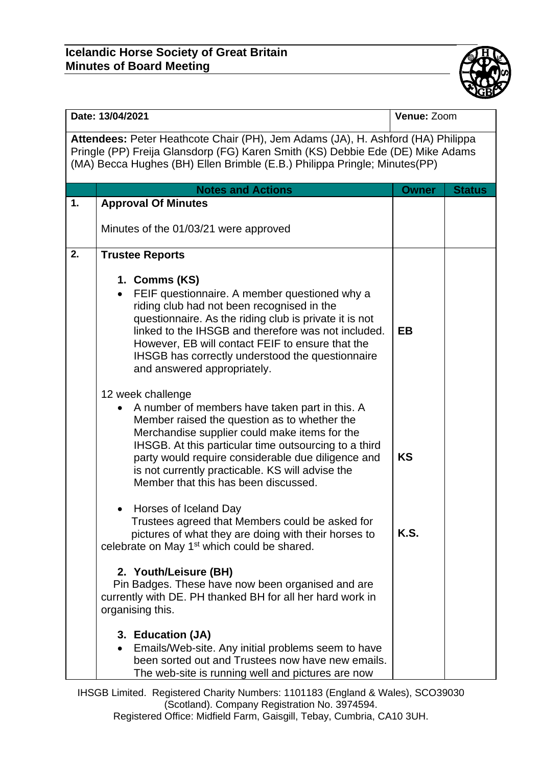

| Date: 13/04/2021                                                                                                                                                                                                                               |                                                                                                                                                                                                                                                                                                                                                                                 | Venue: Zoom  |               |  |  |  |
|------------------------------------------------------------------------------------------------------------------------------------------------------------------------------------------------------------------------------------------------|---------------------------------------------------------------------------------------------------------------------------------------------------------------------------------------------------------------------------------------------------------------------------------------------------------------------------------------------------------------------------------|--------------|---------------|--|--|--|
| Attendees: Peter Heathcote Chair (PH), Jem Adams (JA), H. Ashford (HA) Philippa<br>Pringle (PP) Freija Glansdorp (FG) Karen Smith (KS) Debbie Ede (DE) Mike Adams<br>(MA) Becca Hughes (BH) Ellen Brimble (E.B.) Philippa Pringle; Minutes(PP) |                                                                                                                                                                                                                                                                                                                                                                                 |              |               |  |  |  |
|                                                                                                                                                                                                                                                | <b>Notes and Actions</b>                                                                                                                                                                                                                                                                                                                                                        | <b>Owner</b> | <b>Status</b> |  |  |  |
| 1.                                                                                                                                                                                                                                             | <b>Approval Of Minutes</b>                                                                                                                                                                                                                                                                                                                                                      |              |               |  |  |  |
|                                                                                                                                                                                                                                                | Minutes of the 01/03/21 were approved                                                                                                                                                                                                                                                                                                                                           |              |               |  |  |  |
| 2.                                                                                                                                                                                                                                             | <b>Trustee Reports</b>                                                                                                                                                                                                                                                                                                                                                          |              |               |  |  |  |
|                                                                                                                                                                                                                                                | 1. Comms (KS)<br>FEIF questionnaire. A member questioned why a<br>riding club had not been recognised in the<br>questionnaire. As the riding club is private it is not<br>linked to the IHSGB and therefore was not included.<br>However, EB will contact FEIF to ensure that the<br>IHSGB has correctly understood the questionnaire<br>and answered appropriately.            | <b>EB</b>    |               |  |  |  |
|                                                                                                                                                                                                                                                | 12 week challenge<br>A number of members have taken part in this. A<br>Member raised the question as to whether the<br>Merchandise supplier could make items for the<br>IHSGB. At this particular time outsourcing to a third<br>party would require considerable due diligence and<br>is not currently practicable. KS will advise the<br>Member that this has been discussed. | <b>KS</b>    |               |  |  |  |
|                                                                                                                                                                                                                                                | Horses of Iceland Day<br>Trustees agreed that Members could be asked for<br>pictures of what they are doing with their horses to<br>celebrate on May 1 <sup>st</sup> which could be shared.<br>2. Youth/Leisure (BH)                                                                                                                                                            | <b>K.S.</b>  |               |  |  |  |
|                                                                                                                                                                                                                                                | Pin Badges. These have now been organised and are<br>currently with DE. PH thanked BH for all her hard work in<br>organising this.<br>3. Education (JA)<br>Emails/Web-site. Any initial problems seem to have<br>been sorted out and Trustees now have new emails.<br>The web-site is running well and pictures are now                                                         |              |               |  |  |  |

IHSGB Limited. Registered Charity Numbers: 1101183 (England & Wales), SCO39030 (Scotland). Company Registration No. 3974594. Registered Office: Midfield Farm, Gaisgill, Tebay, Cumbria, CA10 3UH.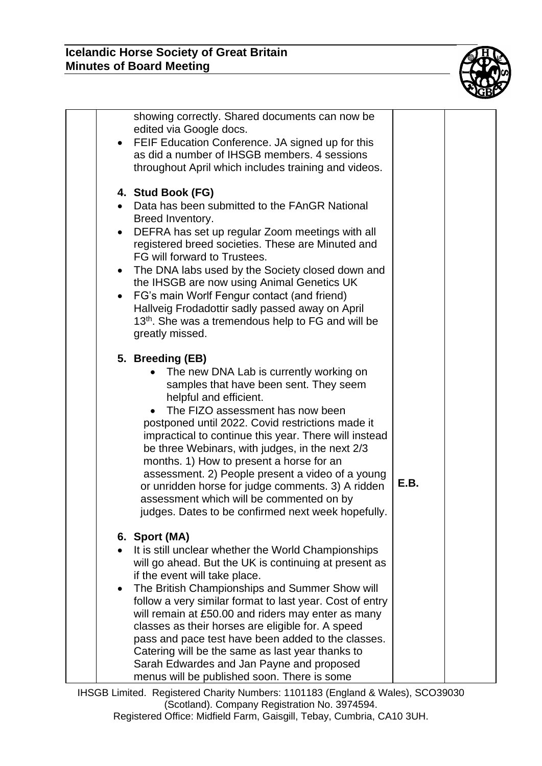

| $\bullet$              | showing correctly. Shared documents can now be<br>edited via Google docs.<br>FEIF Education Conference. JA signed up for this<br>as did a number of IHSGB members. 4 sessions<br>throughout April which includes training and videos.                                                                                                                                                                                                                                                                                                                                                         |      |  |
|------------------------|-----------------------------------------------------------------------------------------------------------------------------------------------------------------------------------------------------------------------------------------------------------------------------------------------------------------------------------------------------------------------------------------------------------------------------------------------------------------------------------------------------------------------------------------------------------------------------------------------|------|--|
| $\bullet$<br>$\bullet$ | 4. Stud Book (FG)<br>Data has been submitted to the FAnGR National<br>Breed Inventory.<br>DEFRA has set up regular Zoom meetings with all<br>registered breed societies. These are Minuted and<br>FG will forward to Trustees.<br>The DNA labs used by the Society closed down and<br>the IHSGB are now using Animal Genetics UK<br>FG's main Worlf Fengur contact (and friend)<br>Hallveig Frodadottir sadly passed away on April<br>13 <sup>th</sup> . She was a tremendous help to FG and will be<br>greatly missed.                                                                       |      |  |
|                        | 5. Breeding (EB)<br>The new DNA Lab is currently working on<br>samples that have been sent. They seem<br>helpful and efficient.<br>The FIZO assessment has now been<br>postponed until 2022. Covid restrictions made it<br>impractical to continue this year. There will instead<br>be three Webinars, with judges, in the next 2/3<br>months. 1) How to present a horse for an<br>assessment. 2) People present a video of a young<br>or unridden horse for judge comments. 3) A ridden<br>assessment which will be commented on by<br>judges. Dates to be confirmed next week hopefully.    | E.B. |  |
| $\bullet$              | 6. Sport (MA)<br>It is still unclear whether the World Championships<br>will go ahead. But the UK is continuing at present as<br>if the event will take place.<br>The British Championships and Summer Show will<br>follow a very similar format to last year. Cost of entry<br>will remain at £50.00 and riders may enter as many<br>classes as their horses are eligible for. A speed<br>pass and pace test have been added to the classes.<br>Catering will be the same as last year thanks to<br>Sarah Edwardes and Jan Payne and proposed<br>menus will be published soon. There is some |      |  |

IHSGB Limited. Registered Charity Numbers: 1101183 (England & Wales), SCO39030 (Scotland). Company Registration No. 3974594. Registered Office: Midfield Farm, Gaisgill, Tebay, Cumbria, CA10 3UH.